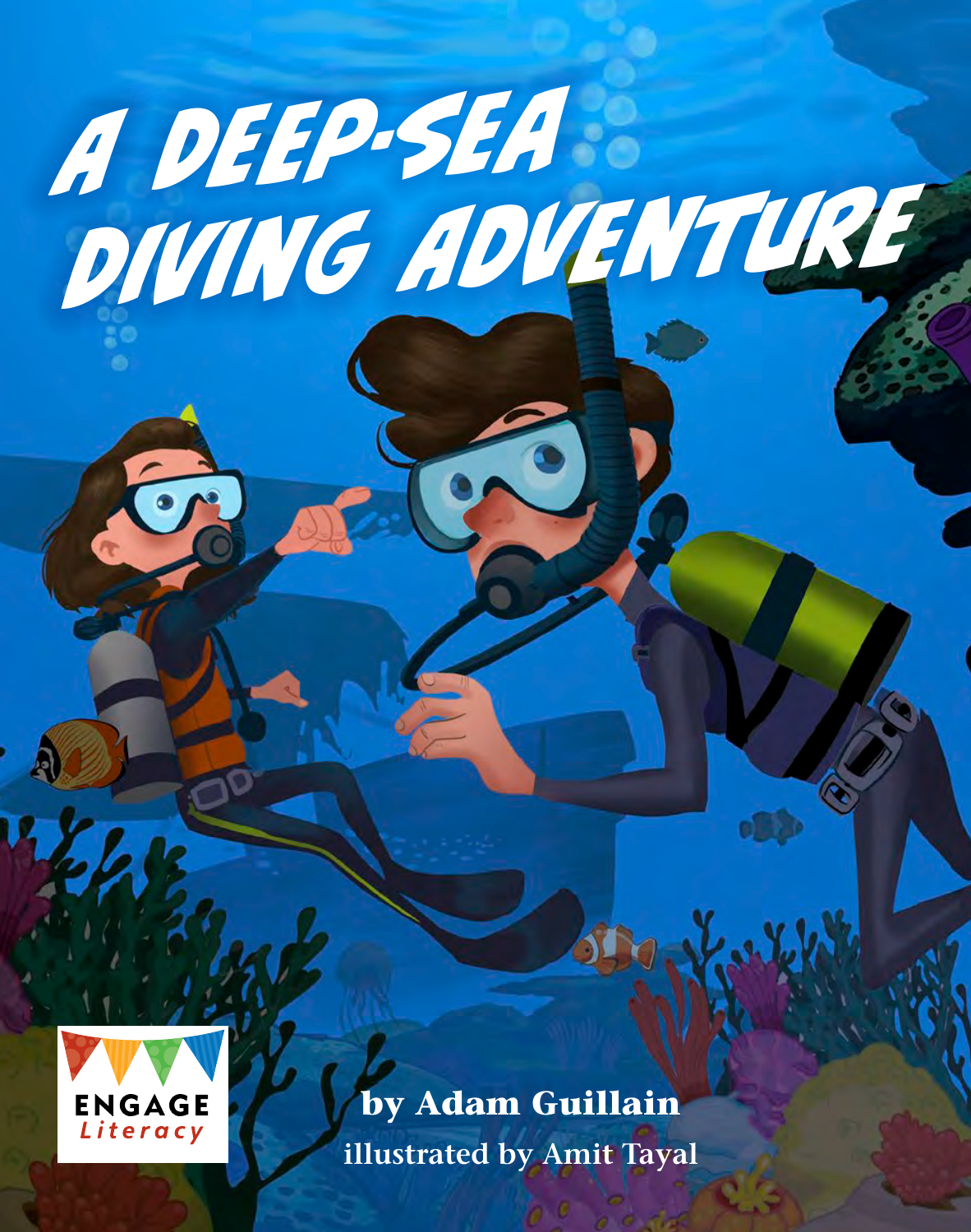



**by Adam Guillain illustrated by Amit Tayal**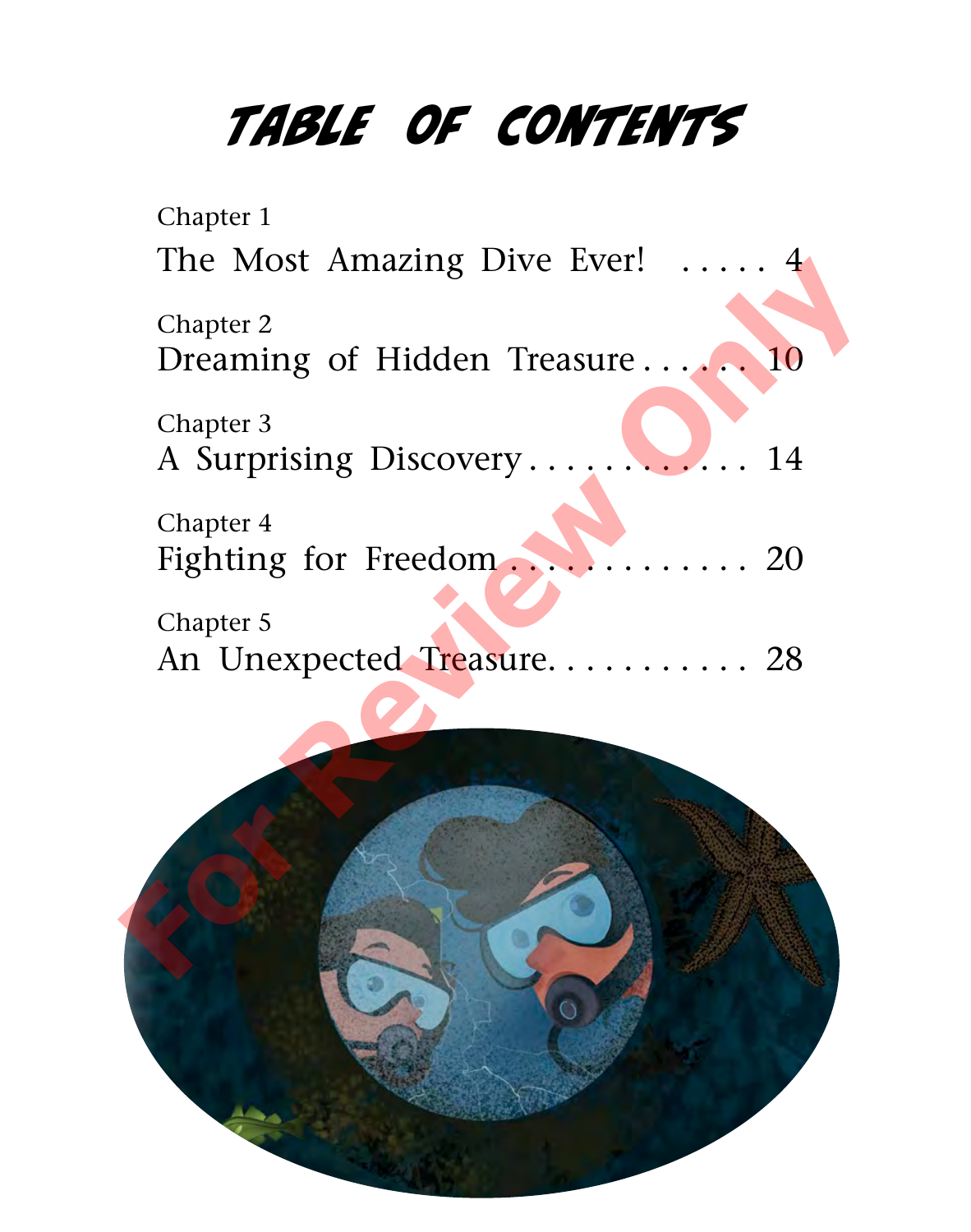## Table of Contents

| Chapter 1                                      |  |
|------------------------------------------------|--|
| The Most Amazing Dive Ever!                    |  |
| Chapter 2<br>Dreaming of Hidden Treasure<br>10 |  |
| Chapter 3<br>A Surprising Discovery 14         |  |
| Chapter 4<br>Fighting for Freedom              |  |
| Chapter 5<br>An Unexpected Treasure 28         |  |
|                                                |  |
|                                                |  |
|                                                |  |

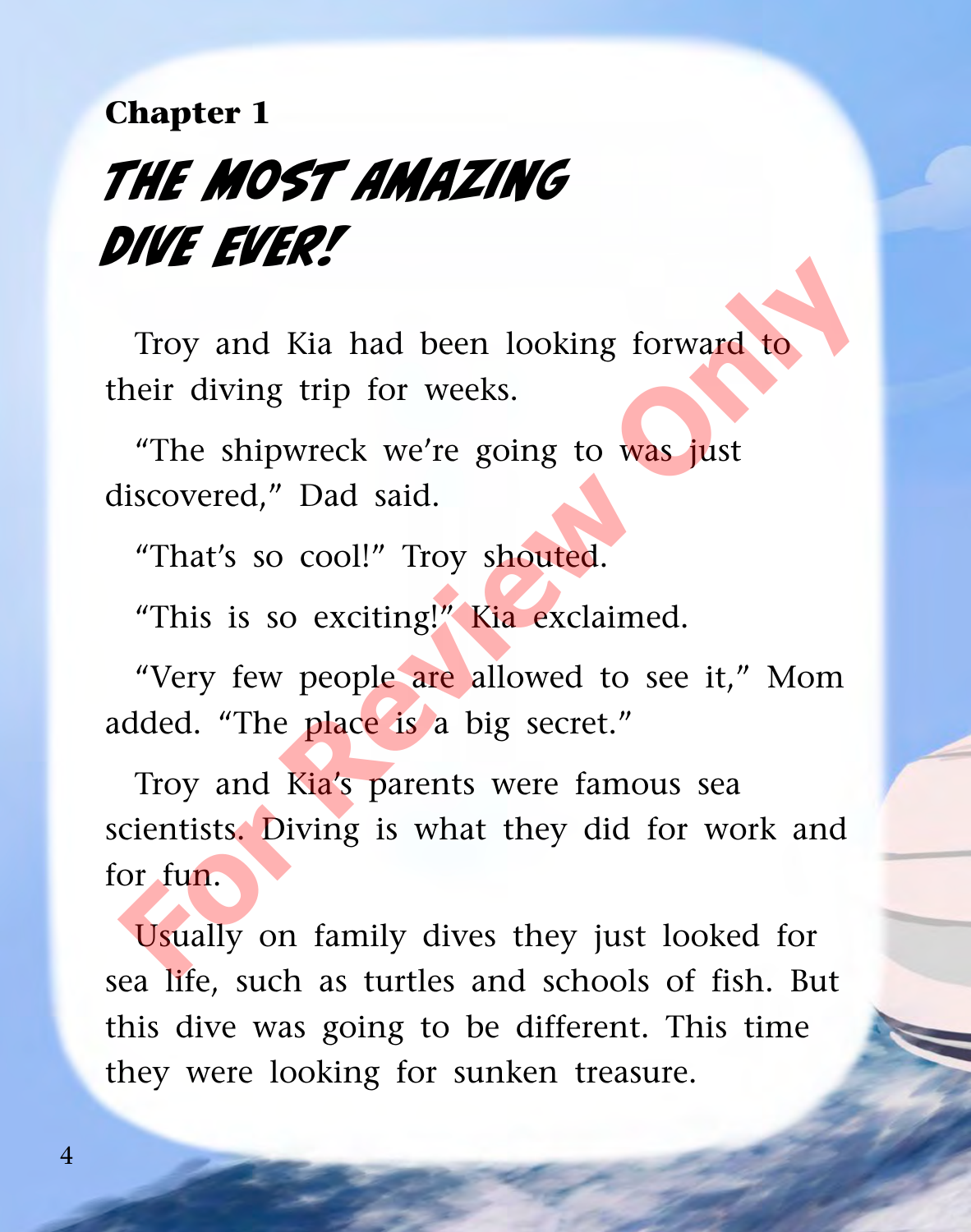## <span id="page-2-0"></span>**Chapter 1** The Most Amazing Dive Ever!

Troy and Kia had been looking forward to their diving trip for weeks.

"The shipwreck we're going to was just discovered," Dad said.

"That's so cool!" Troy shouted.

"This is so exciting!" Kia exclaimed.

"Very few people are allowed to see it," Mom added. "The place is a big secret."

Troy and Kia's parents were famous sea scientists. Diving is what they did for work and for fun. Troy and Kia had been looking forward to<br>heir diving trip for weeks.<br>"The shipwreck we're going to was just<br>liscovered," Dad said.<br>"That's so cool!" Troy shouted.<br>"This is so exciting!" Kia exclaimed.<br>"Very few people are

Usually on family dives they just looked for sea life, such as turtles and schools of fish. But this dive was going to be different. This time they were looking for sunken treasure.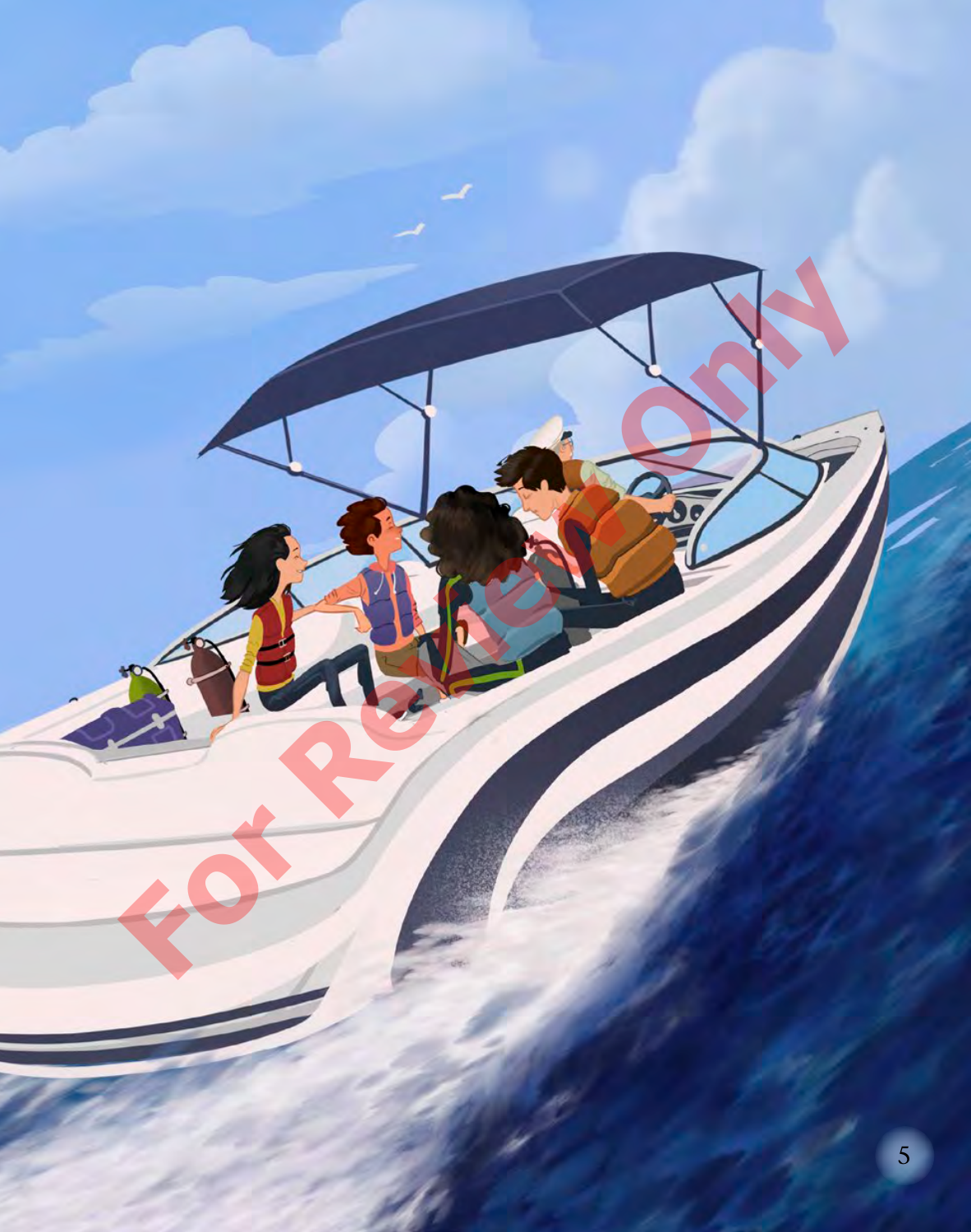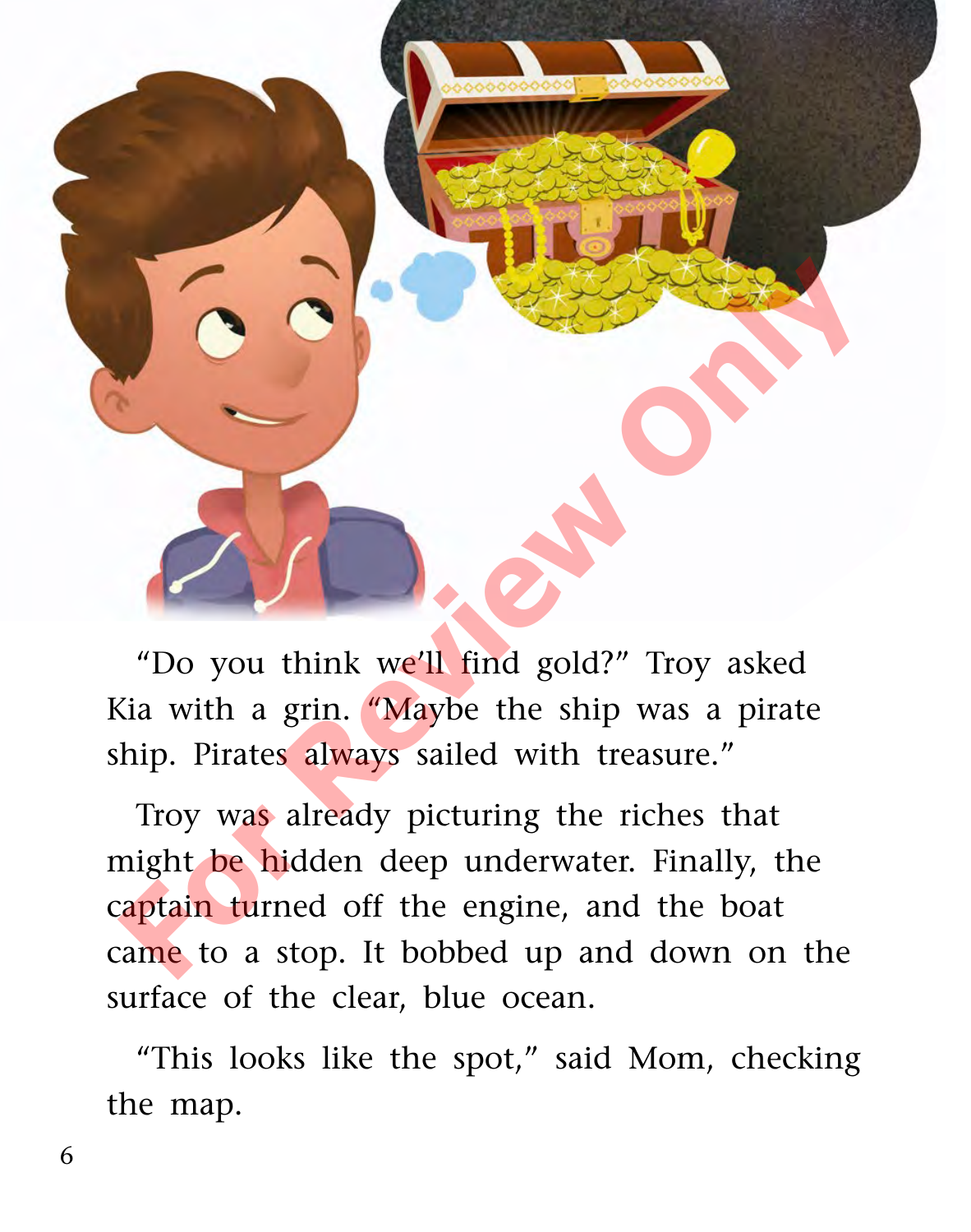

"Do you think we'll find gold?" Troy asked Kia with a grin. "Maybe the ship was a pirate ship. Pirates always sailed with treasure."

Troy was already picturing the riches that might be hidden deep underwater. Finally, the captain turned off the engine, and the boat came to a stop. It bobbed up and down on the surface of the clear, blue ocean.

"This looks like the spot," said Mom, checking the map.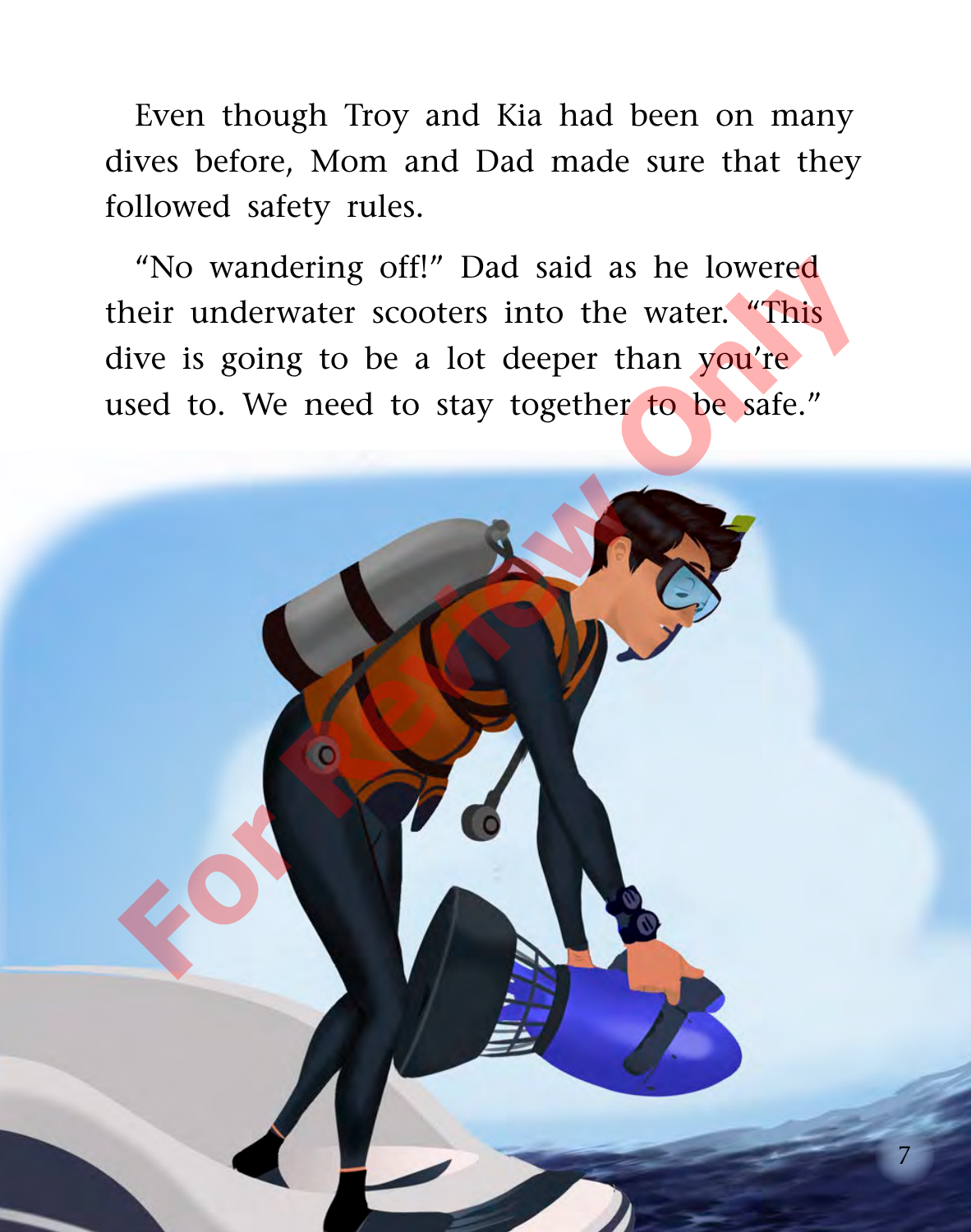Even though Troy and Kia had been on many dives before, Mom and Dad made sure that they followed safety rules.

"No wandering off!" Dad said as he lowered their underwater scooters into the water. "This dive is going to be a lot deeper than you're used to. We need to stay together to be safe."

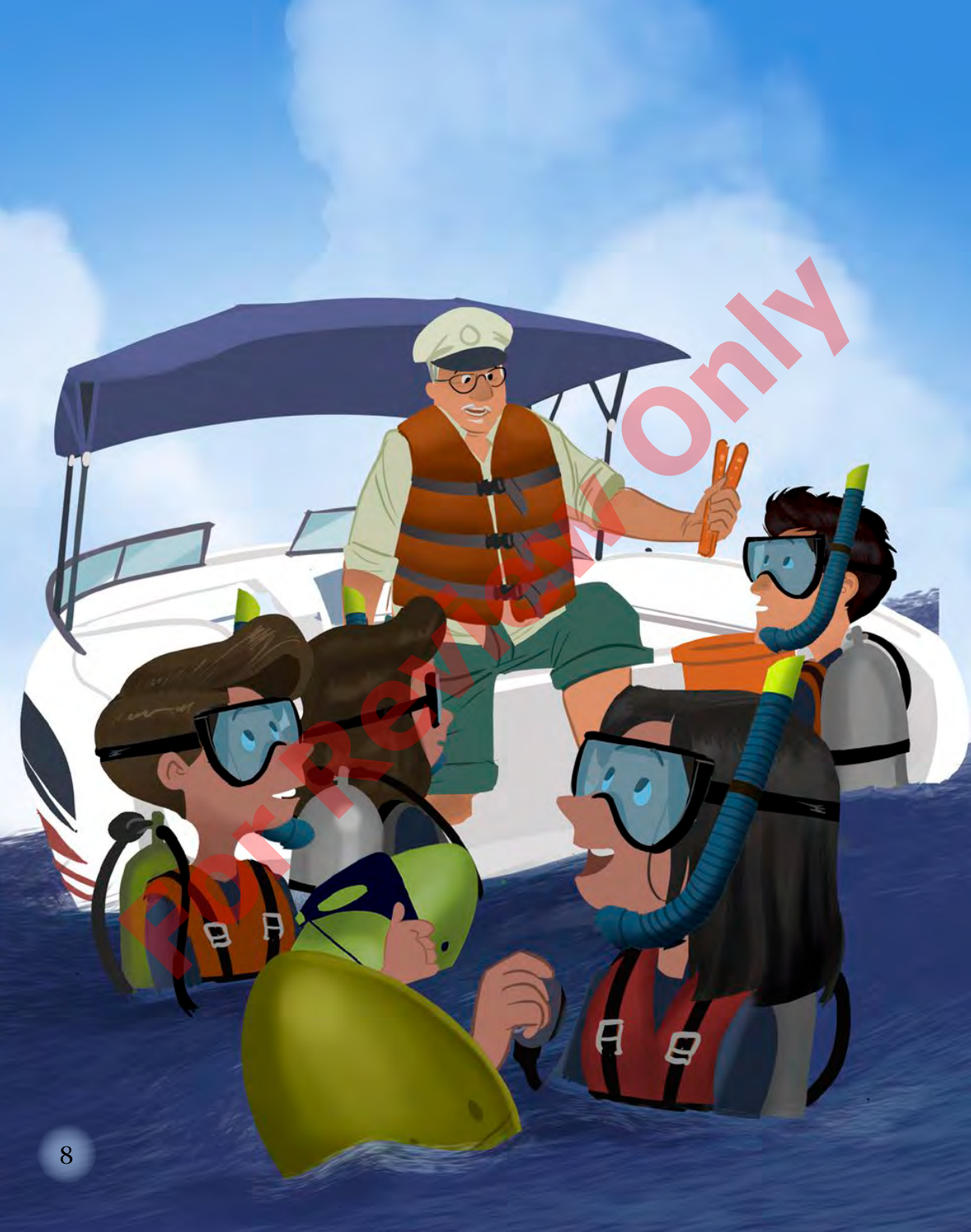